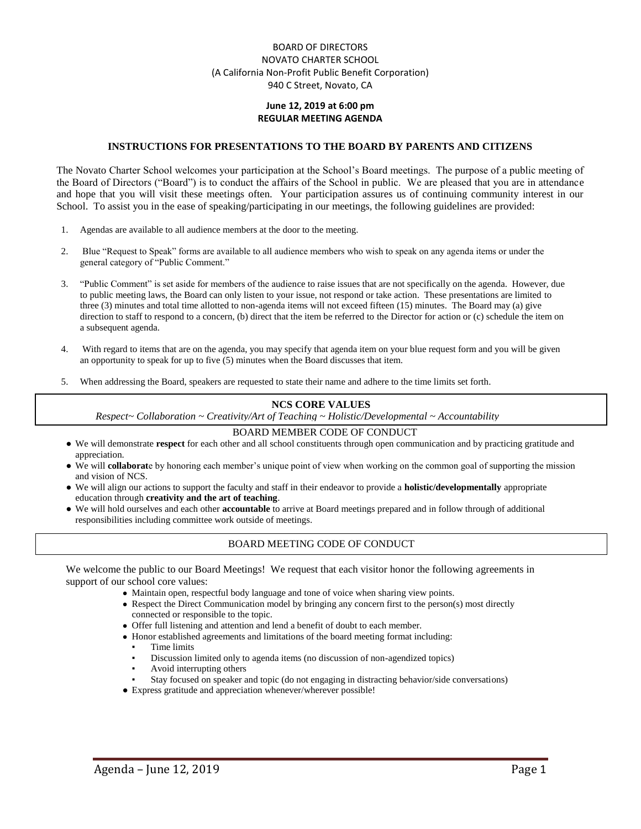## BOARD OF DIRECTORS NOVATO CHARTER SCHOOL (A California Non-Profit Public Benefit Corporation) 940 C Street, Novato, CA

## **June 12, 2019 at 6:00 pm REGULAR MEETING AGENDA**

#### **INSTRUCTIONS FOR PRESENTATIONS TO THE BOARD BY PARENTS AND CITIZENS**

The Novato Charter School welcomes your participation at the School's Board meetings. The purpose of a public meeting of the Board of Directors ("Board") is to conduct the affairs of the School in public. We are pleased that you are in attendance and hope that you will visit these meetings often. Your participation assures us of continuing community interest in our School. To assist you in the ease of speaking/participating in our meetings, the following guidelines are provided:

- 1. Agendas are available to all audience members at the door to the meeting.
- 2. Blue "Request to Speak" forms are available to all audience members who wish to speak on any agenda items or under the general category of "Public Comment."
- 3. "Public Comment" is set aside for members of the audience to raise issues that are not specifically on the agenda. However, due to public meeting laws, the Board can only listen to your issue, not respond or take action. These presentations are limited to three (3) minutes and total time allotted to non-agenda items will not exceed fifteen (15) minutes. The Board may (a) give direction to staff to respond to a concern, (b) direct that the item be referred to the Director for action or (c) schedule the item on a subsequent agenda.
- 4. With regard to items that are on the agenda, you may specify that agenda item on your blue request form and you will be given an opportunity to speak for up to five (5) minutes when the Board discusses that item.
- 5. When addressing the Board, speakers are requested to state their name and adhere to the time limits set forth.

#### **NCS CORE VALUES**

*Respect~ Collaboration ~ Creativity/Art of Teaching ~ Holistic/Developmental ~ Accountability*

#### BOARD MEMBER CODE OF CONDUCT

- We will demonstrate **respect** for each other and all school constituents through open communication and by practicing gratitude and appreciation.
- We will **collaborat**e by honoring each member's unique point of view when working on the common goal of supporting the mission and vision of NCS.
- We will align our actions to support the faculty and staff in their endeavor to provide a **holistic/developmentally** appropriate education through **creativity and the art of teaching**.
- We will hold ourselves and each other **accountable** to arrive at Board meetings prepared and in follow through of additional responsibilities including committee work outside of meetings.

#### BOARD MEETING CODE OF CONDUCT

We welcome the public to our Board Meetings! We request that each visitor honor the following agreements in support of our school core values:

- Maintain open, respectful body language and tone of voice when sharing view points.
- Respect the Direct Communication model by bringing any concern first to the person(s) most directly connected or responsible to the topic.
- Offer full listening and attention and lend a benefit of doubt to each member.
- Honor established agreements and limitations of the board meeting format including:
	- Time limits
	- Discussion limited only to agenda items (no discussion of non-agendized topics)
	- Avoid interrupting others
	- Stay focused on speaker and topic (do not engaging in distracting behavior/side conversations)
- Express gratitude and appreciation whenever/wherever possible!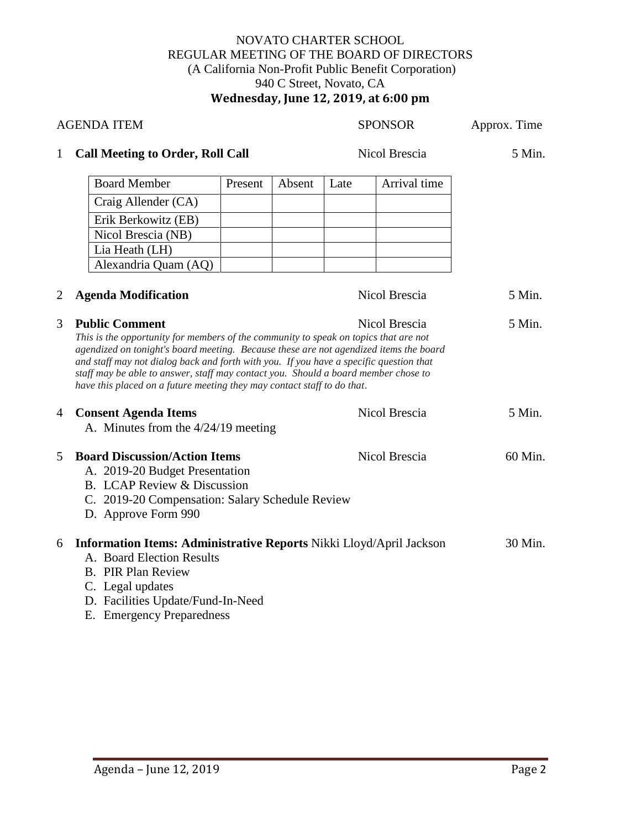# NOVATO CHARTER SCHOOL REGULAR MEETING OF THE BOARD OF DIRECTORS (A California Non-Profit Public Benefit Corporation) 940 C Street, Novato, CA **Wednesday, June 12, 2019, at 6:00 pm**

| <b>AGENDA ITEM</b> |                                                                                                                                                                                                                                                                                                                                                                                                                                                                                    |               |        | <b>SPONSOR</b> |               | Approx. Time |
|--------------------|------------------------------------------------------------------------------------------------------------------------------------------------------------------------------------------------------------------------------------------------------------------------------------------------------------------------------------------------------------------------------------------------------------------------------------------------------------------------------------|---------------|--------|----------------|---------------|--------------|
| $\mathbf{1}$       | <b>Call Meeting to Order, Roll Call</b>                                                                                                                                                                                                                                                                                                                                                                                                                                            | Nicol Brescia |        | 5 Min.         |               |              |
|                    | <b>Board Member</b>                                                                                                                                                                                                                                                                                                                                                                                                                                                                | Present       | Absent | Late           | Arrival time  |              |
|                    | Craig Allender (CA)                                                                                                                                                                                                                                                                                                                                                                                                                                                                |               |        |                |               |              |
|                    | Erik Berkowitz (EB)                                                                                                                                                                                                                                                                                                                                                                                                                                                                |               |        |                |               |              |
|                    | Nicol Brescia (NB)                                                                                                                                                                                                                                                                                                                                                                                                                                                                 |               |        |                |               |              |
|                    | Lia Heath (LH)                                                                                                                                                                                                                                                                                                                                                                                                                                                                     |               |        |                |               |              |
|                    | Alexandria Quam (AQ)                                                                                                                                                                                                                                                                                                                                                                                                                                                               |               |        |                |               |              |
| 2                  | <b>Agenda Modification</b>                                                                                                                                                                                                                                                                                                                                                                                                                                                         |               |        |                | Nicol Brescia | 5 Min.       |
| 3                  | <b>Public Comment</b><br>Nicol Brescia<br>This is the opportunity for members of the community to speak on topics that are not<br>agendized on tonight's board meeting. Because these are not agendized items the board<br>and staff may not dialog back and forth with you. If you have a specific question that<br>staff may be able to answer, staff may contact you. Should a board member chose to<br>have this placed on a future meeting they may contact staff to do that. |               |        |                |               | 5 Min.       |
| $\overline{4}$     | <b>Consent Agenda Items</b><br>A. Minutes from the 4/24/19 meeting                                                                                                                                                                                                                                                                                                                                                                                                                 |               |        |                | Nicol Brescia | 5 Min.       |
| 5                  | <b>Board Discussion/Action Items</b><br>Nicol Brescia<br>A. 2019-20 Budget Presentation<br>B. LCAP Review & Discussion<br>C. 2019-20 Compensation: Salary Schedule Review<br>D. Approve Form 990                                                                                                                                                                                                                                                                                   |               |        |                |               | 60 Min.      |
| 6                  | Information Items: Administrative Reports Nikki Lloyd/April Jackson<br>A. Board Election Results<br><b>B.</b> PIR Plan Review<br>C. Legal updates<br>D. Facilities Update/Fund-In-Need<br>E. Emergency Preparedness                                                                                                                                                                                                                                                                |               |        |                |               | 30 Min.      |